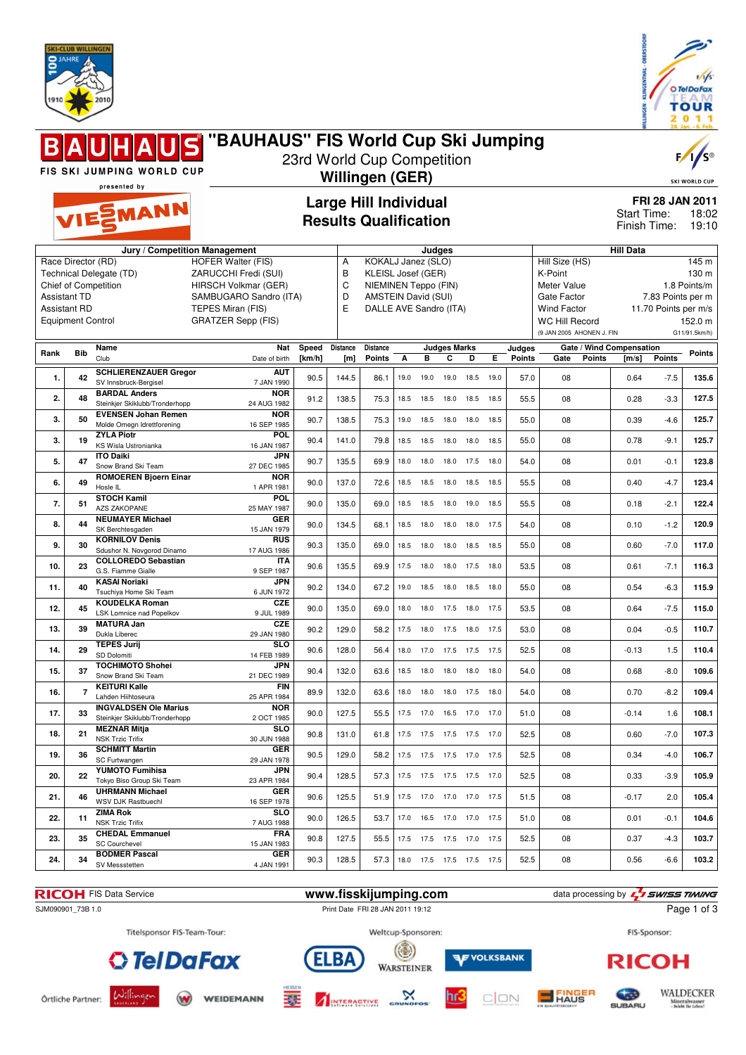



#### **"BAUHAUS" FIS World Cup Ski Jumping** 23rd World Cup Competition FIS SKI JUMPING WORLD CUP **Willingen (GER)** SKI WORLD CU presented by **Large Hill Individual FRI 28 JAN 2011 EMANN** Start Time: 18:02 **Results Qualification** Finish Time: 19:10 **Jury / Competition Management Judges Hill Data** A KOKALJ Janez (SLO) Hill Size (HS) 145 m Race Director (RD) HOFER Walter (FIS) Technical Delegate (TD) ZARUCCHI Fredi (SUI) B KLEISL Josef (GER) K-Point 130 m Meter Value 1.8 Points/m Chief of Competition HIRSCH Volkmar (GER) C NIEMINEN Teppo (FIN) Assistant TD SAMBUGARO Sandro (ITA) D AMSTEIN David (SUI) Gate Factor 7.83 Points per m Assistant RD TEPES Miran (FIS)<br>Equipment Control GRATZER Sepp (F E DALLE AVE Sandro (ITA) Wind Factor 11.70 Points per m/s<br>WC Hill Record 152.0 m GRATZER Sepp (FIS) WC Hill Record (9 JAN 2005 AHONEN J. FIN G11/91.5km/h) **Rank Bib Name Judges Marks Judges Nat Speed Distance Distance Gate / Wind Compensation Gate Points [m/s] Points Points** Club **Points** Date of birth **[km/h] [m] Points A B C D E 1. 42 SCHLIERENZAUER Gregor AUT**<br>7 JAN 1990 SV Innsbruck-Bergisel 7 JAN 1990 90.5 144.5 86.1 19.0 19.0 19.0 18.5 19.0 57.0 08 0.64 -7.5 **135.6 2. 48 BARDAL Anders NOR**<br>24 AUG 1982 Steinkjer Skiklubb/Tronderhopp 24 AUG 1982 91.2 138.5 75.3 18.5 18.5 18.0 18.5 18.5 55.5 08 0.28 -3.3 **127.5 3. 50 EVENSEN Johan Remen NOR**<br>16 SEP 1985 16 SEP 1985 90.7 138.5 75.3 19.0 18.5 18.0 18.0 18.5 55.0 08 0.39 -4.6 **125.7** Molde Omegn Idrettforening **3. 19 ZYLA Piotr POL**<br>16 JAN 1987 16 JAN 1987 90.4 141.0 79.8 18.5 18.5 18.0 18.0 18.5 55.0 08 0.78 -9.1 **125.7** KS Wisla Ustronianka **5. 47 ITO Daiki JPN** 27 DEC 1985 90.7 135.5 69.9 18.0 18.0 18.0 17.5 18.0 54.0 08 0.01 -0.1 **123.8** Snow Brand Ski Team **6. 49 ROMOEREN Bjoern Einar NOR** 1 APR 1981 90.0 137.0 72.6 18.5 18.5 18.0 18.5 18.5 55.5 08 0.40 -4.7 **123.4** Hosle IL **7. 51 STOCH Kamil POL** 25 MAY 1987 90.0 135.0 69.0 18.5 18.5 18.0 19.0 18.5 55.5 08 0.18 -2.1 **122.4** AZS ZAKOPANE **8. 44 NEUMAYER Michael GER**<br>15. JAN 1979 15 JAN 1979 90.0 134.5 68.1 18.5 18.0 18.0 18.0 17.5 54.0 08 0.10 -1.2 **120.9** SK Berchtesgaden **9. 30 KORNILOV Denis RUS** 17 AUG 1986 90.3 135.0 69.0 18.5 18.0 18.0 18.5 18.5 55.0 08 0.60 -7.0 **117.0** Sdushor N. Novgorod Dinamo **10. 23 COLLOREDO Sebastian ITA**<br>9 SEP 1987 9 SEP 1987 90.6 135.5 69.9 17.5 18.0 18.0 17.5 18.0 53.5 08 0.61 -7.1 **116.3** G.S. Fiamme Gialle **11. 40 KASAI Noriaki JPN**<br>6.ILIN 1972 6 JUN 1972 90.2 134.0 67.2 19.0 18.5 18.0 18.5 18.0 55.0 08 0.54 -6.3 **115.9** Tsuchiya Home Ski Team **12. 45 KOUDELKA Roman CZE** 9 JUL 1989 90.0 135.0 69.0 18.0 18.0 17.5 18.0 17.5 53.5 08 0.64 -7.5 **115.0** LSK Lomnice nad Popelkov **13. 39 MATURA Jan CZE**<br>29 JAN 1980 29 JAN 1980 90.2 129.0 58.2 17.5 18.0 17.5 18.0 17.5 53.0 08 0.04 -0.5 **110.7** Dukla Liberec **14. 29 TEPES Jurij SLO**<br>14 FEB 1989 14 FEB 1989 90.6 128.0 56.4 18.0 17.0 17.5 17.5 17.5 52.5 08 -0.13 1.5 **110.4** SD Dolomiti **15. 37 TOCHIMOTO Shohei JPN**<br>21 DEC 1989 21 DEC 1989 90.4 132.0 63.6 18.5 18.0 18.0 18.0 18.0 54.0 08 0.68 -8.0 **109.6** Snow Brand Ski Team **16. 7 KEITURI Kalle FIN**<br>25 APR 1984 25 APR 1984 89.9 132.0 63.6 18.0 18.0 18.0 17.5 18.0 54.0 08 0.70 -8.2 **109.4** Lahden Hiihtoseura<br>**INGVALDSEN Ole Marius NOR**<br>2 OCT 1985 **17. 33 INGVALDSEN Ole Marius** Steinkjer Skiklubb/Tronderhopp 2 OCT 1985 90.0 127.5 55.5 17.5 17.0 16.5 17.0 17.0 51.0 08 -0.14 1.6 **108.1 18. 21 MEZNAR Mitja SLO**<br>30 JUN 1988 30 JUN 1988 90.8 131.0 61.8 17.5 17.5 17.5 17.5 17.0 52.5 08 0.60 -7.0 **107.3** NSK Trzic Trifix **19. 36 SCHMITT Martin GER** 29 JAN 1978 90.5 129.0 58.2 17.5 17.5 17.5 17.0 17.5 52.5 08 0.34 -4.0 **106.7** SC Furtwangen **20. 22 YUMOTO Fumihisa JPN**<br>23 APR 1984 23 APR 1984 90.4 128.5 57.3 17.5 17.5 17.5 17.5 17.0 52.5 08 0.33 -3.9 **105.9** Tokyo Biso Group Ski Team<br>UHRMANN Michael GER<br>16 SEP 1978 **21. 46 UHRMANN Michael** WSV DJK Rastbuechl 16 SEP 1978 90.6 125.5 51.9 17.5 17.0 17.0 17.0 17.5 51.5 08 -0.17 2.0 **105.4 22. 11 ZIMA Rok SLO** 7 AUG 1988 90.0 126.5 53.7 17.0 16.5 17.0 17.0 17.5 51.0 08 0.01 -0.1 **104.6** NSK Trzic Trifix **23. 35 CHEDAL Emmanuel FRA**<br>15 JAN 1983 15 JAN 1983 90.8 127.5 55.5 17.5 17.5 17.5 17.0 17.5 52.5 08 0.37 -4.3 **103.7** SC Courchevel **24. 34 BODMER Pascal GER**<br>4 JAN 1991 4 JAN 1991 90.3 128.5 57.3 18.0 17.5 17.5 17.5 17.5 52.5 08 0.56 -6.6 **103.2** SV Messstetten

**RICOH** FIS Data Service **www.fisskijumping.com** data processing by  $\frac{7}{2}$  **swiss TIMING** 

# SJM090901\_73B 1.0 **Print Date FRI 28 JAN 2011 19:12**

FIS-Sponsor:



WEIDEMANN

Titelsponsor FIS-Team-Tour:



塞



Weltcup-Sponsoren:

 $(\odot)$ 



**AF VOLKSBANK** 





Page 1 of 3

Örtliche Partner: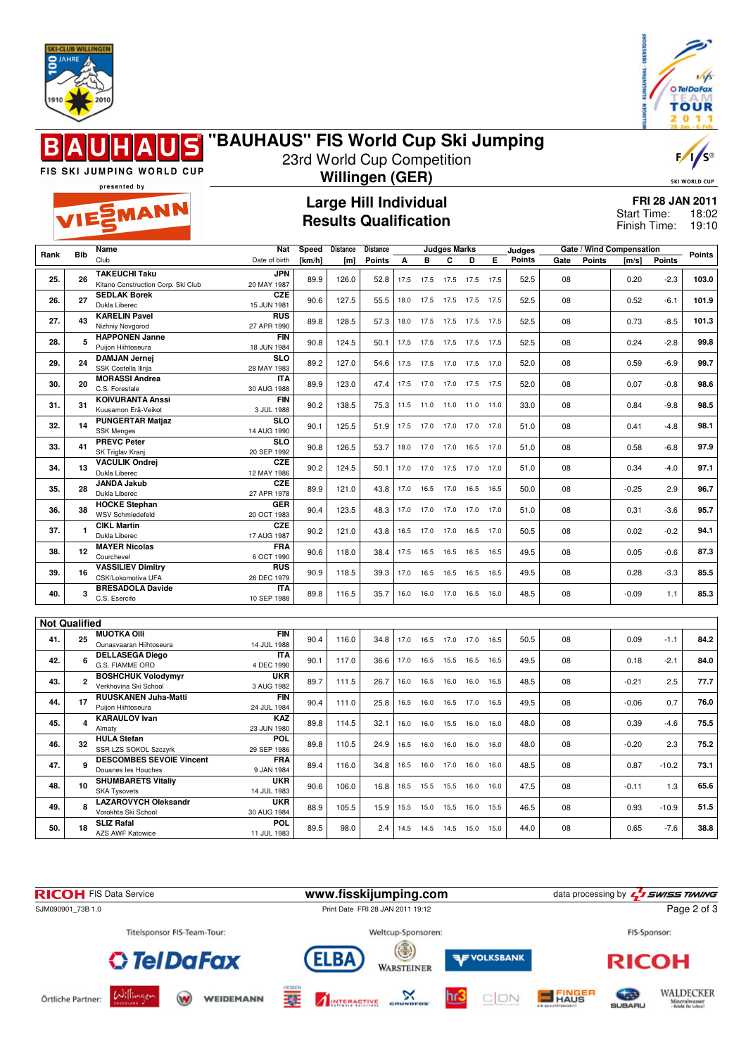



### **"BAUHAUS" FIS World Cup Ski Jumping**  $\blacksquare$ 23rd World Cup Competition

 $\overline{V}$ 

SKI WORLD CU

FIS SKI JUMPING WORLD CUP presented by

EMANN

**49. 8 LAZAROVYCH Oleksandr** Vorokhta Ski School

AZS AWF Katowice

**50. 18 SLIZ Rafal**

# **Willingen (GER)**

**Large Hill Individual Results Qualification**

| <b>FRI 28 JAN 2011</b> |       |
|------------------------|-------|
| Start Time:            | 18:02 |

19:10 Finish Time:

|                      |                | Name                                                      | <b>Nat</b>                | Speed  | Distance | Distance      |      |           | <b>Judges Marks</b>      |           |      | Judges        |      |               | Gate / Wind Compensation |               |        |
|----------------------|----------------|-----------------------------------------------------------|---------------------------|--------|----------|---------------|------|-----------|--------------------------|-----------|------|---------------|------|---------------|--------------------------|---------------|--------|
| Rank                 | <b>Bib</b>     | Club                                                      | Date of birth             | [km/h] | [m]      | <b>Points</b> | A    | B         | C                        | D         | Е    | <b>Points</b> | Gate | <b>Points</b> | $\mathsf{Im/s}$          | <b>Points</b> | Points |
|                      |                |                                                           |                           |        |          |               |      |           |                          |           |      |               |      |               |                          |               |        |
| 25.                  | 26             | <b>TAKEUCHI Taku</b>                                      | <b>JPN</b>                | 89.9   | 126.0    | 52.8          |      |           | 17.5 17.5 17.5 17.5 17.5 |           |      | 52.5          | 08   |               | 0.20                     | $-2.3$        | 103.0  |
|                      |                | Kitano Construction Corp. Ski Club<br><b>SEDLAK Borek</b> | 20 MAY 1987<br>CZE        |        |          |               |      |           |                          |           |      |               |      |               |                          |               |        |
| 26.                  | 27             | Dukla Liberec                                             | 15 JUN 1981               | 90.6   | 127.5    | 55.5          |      |           | 18.0 17.5 17.5 17.5 17.5 |           |      | 52.5          | 08   |               | 0.52                     | $-6.1$        | 101.9  |
|                      |                | <b>KARELIN Pavel</b>                                      | <b>RUS</b>                |        |          |               |      |           |                          |           |      |               |      |               |                          |               |        |
| 27.                  | 43             | Nizhniy Novgorod                                          | 27 APR 1990               | 89.8   | 128.5    | 57.3          | 18.0 |           | 17.5 17.5 17.5           |           | 17.5 | 52.5          | 08   |               | 0.73                     | $-8.5$        | 101.3  |
|                      |                | <b>HAPPONEN Janne</b>                                     | <b>FIN</b>                |        |          |               |      |           |                          |           |      |               |      |               |                          |               |        |
| 28.                  | 5              | Puijon Hiihtoseura                                        | 18 JUN 1984               | 90.8   | 124.5    | 50.1          |      |           | 17.5 17.5 17.5 17.5      |           | 17.5 | 52.5          | 08   |               | 0.24                     | $-2.8$        | 99.8   |
|                      |                | <b>DAMJAN Jernej</b>                                      | <b>SLO</b>                |        |          |               |      |           |                          |           |      |               |      |               |                          |               |        |
| 29.                  | 24             | SSK Costella Ilirija                                      | 28 MAY 1983               | 89.2   | 127.0    | 54.6          | 17.5 |           | 17.5 17.0 17.5           |           | 17.0 | 52.0          | 08   |               | 0.59                     | $-6.9$        | 99.7   |
| 30.                  | 20             | <b>MORASSI Andrea</b>                                     | <b>ITA</b>                | 89.9   |          | 47.4          |      |           | 17.5 17.0 17.0 17.5 17.5 |           |      |               |      |               |                          | $-0.8$        | 98.6   |
|                      |                | C.S. Forestale                                            | 30 AUG 1988               |        | 123.0    |               |      |           |                          |           |      | 52.0          | 08   |               | 0.07                     |               |        |
| 31.                  | 31             | <b>KOIVURANTA Anssi</b>                                   | <b>FIN</b>                | 90.2   | 138.5    | 75.3          |      | 11.5 11.0 | 11.0 11.0                |           | 11.0 | 33.0          | 08   |               | 0.84                     | $-9.8$        | 98.5   |
|                      |                | Kuusamon Erä-Veikot                                       | 3 JUL 1988                |        |          |               |      |           |                          |           |      |               |      |               |                          |               |        |
| 32.                  | 14             | <b>PUNGERTAR Matjaz</b>                                   | <b>SLO</b>                | 90.1   | 125.5    | 51.9          |      |           | 17.5 17.0 17.0 17.0 17.0 |           |      | 51.0          | 08   |               | 0.41                     | $-4.8$        | 98.1   |
|                      |                | <b>SSK Menges</b>                                         | 14 AUG 1990               |        |          |               |      |           |                          |           |      |               |      |               |                          |               |        |
| 33.                  | 41             | <b>PREVC Peter</b>                                        | <b>SLO</b><br>20 SEP 1992 | 90.8   | 126.5    | 53.7          | 18.0 | 17.0      | 17.0                     | 16.5      | 17.0 | 51.0          | 08   |               | 0.58                     | $-6.8$        | 97.9   |
|                      |                | SK Triglav Kranj<br><b>VACULIK Ondrej</b>                 | <b>CZE</b>                |        |          |               |      |           |                          |           |      |               |      |               |                          |               |        |
| 34.                  | 13             | Dukla Liberec                                             | 12 MAY 1986               | 90.2   | 124.5    | 50.1          | 17.0 | 17.0      | 17.5 17.0                |           | 17.0 | 51.0          | 08   |               | 0.34                     | $-4.0$        | 97.1   |
|                      |                | <b>JANDA Jakub</b>                                        | <b>CZE</b>                |        |          |               |      |           |                          |           |      |               |      |               |                          |               |        |
| 35.                  | 28             | Dukla Liberec                                             | 27 APR 1978               | 89.9   | 121.0    | 43.8          | 17.0 | 16.5      | 17.0                     | 16.5      | 16.5 | 50.0          | 08   |               | $-0.25$                  | 2.9           | 96.7   |
|                      |                | <b>HOCKE Stephan</b>                                      | <b>GER</b>                |        |          |               |      |           |                          |           |      |               |      |               |                          |               |        |
| 36.                  | 38             | <b>WSV Schmiedefeld</b>                                   | 20 OCT 1983               | 90.4   | 123.5    | 48.3          |      |           | 17.0 17.0 17.0 17.0      |           | 17.0 | 51.0          | 08   |               | 0.31                     | $-3.6$        | 95.7   |
| 37.                  | $\blacksquare$ | <b>CIKL Martin</b>                                        | CZE                       | 90.2   | 121.0    | 43.8          |      |           | 16.5 17.0 17.0 16.5 17.0 |           |      | 50.5          | 08   |               | 0.02                     | $-0.2$        | 94.1   |
|                      |                | Dukla Liberec                                             | 17 AUG 1987               |        |          |               |      |           |                          |           |      |               |      |               |                          |               |        |
| 38.                  | 12             | <b>MAYER Nicolas</b>                                      | <b>FRA</b>                | 90.6   | 118.0    | 38.4          | 17.5 | 16.5      | 16.5                     | 16.5      | 16.5 | 49.5          | 08   |               | 0.05                     | $-0.6$        | 87.3   |
|                      |                | Courchevel                                                | 6 OCT 1990                |        |          |               |      |           |                          |           |      |               |      |               |                          |               |        |
| 39.                  | 16             | <b>VASSILIEV Dimitry</b>                                  | <b>RUS</b>                | 90.9   | 118.5    | 39.3          |      |           | 17.0  16.5  16.5  16.5   |           | 16.5 | 49.5          | 08   |               | 0.28                     | $-3.3$        | 85.5   |
|                      |                | CSK/Lokomotiva UFA                                        | 26 DEC 1979               |        |          |               |      |           |                          |           |      |               |      |               |                          |               |        |
| 40.                  | 3              | <b>BRESADOLA Davide</b><br>C.S. Esercito                  | <b>ITA</b><br>10 SEP 1988 | 89.8   | 116.5    | 35.7          | 16.0 | 16.0      | 17.0 16.5 16.0           |           |      | 48.5          | 08   |               | $-0.09$                  | 1.1           | 85.3   |
|                      |                |                                                           |                           |        |          |               |      |           |                          |           |      |               |      |               |                          |               |        |
|                      |                |                                                           |                           |        |          |               |      |           |                          |           |      |               |      |               |                          |               |        |
| <b>Not Qualified</b> |                | <b>MUOTKA OIII</b>                                        |                           |        |          |               |      |           |                          |           |      |               |      |               |                          |               |        |
| 41.                  | 25             | Ounasvaaran Hiihtoseura                                   | <b>FIN</b><br>14 JUL 1988 | 90.4   | 116.0    | 34.8          |      |           | 17.0  16.5  17.0  17.0   |           | 16.5 | 50.5          | 08   |               | 0.09                     | $-1.1$        | 84.2   |
|                      |                | <b>DELLASEGA Diego</b>                                    | <b>ITA</b>                |        |          |               |      |           |                          |           |      |               |      |               |                          |               |        |
| 42.                  | 6              | G.S. FIAMME ORO                                           | 4 DEC 1990                | 90.1   | 117.0    | 36.6          | 17.0 | 16.5      | 15.5 16.5                |           | 16.5 | 49.5          | 08   |               | 0.18                     | $-2.1$        | 84.0   |
|                      |                | <b>BOSHCHUK Volodymyr</b>                                 | <b>UKR</b>                |        |          |               |      |           |                          |           |      |               |      |               |                          |               |        |
| 43.                  | $\overline{2}$ | Verkhovina Ski School                                     | 3 AUG 1982                | 89.7   | 111.5    | 26.7          | 16.0 | 16.5      | 16.0                     | 16.0      | 16.5 | 48.5          | 08   |               | $-0.21$                  | 2.5           | 77.7   |
|                      |                | <b>RUUSKANEN Juha-Matti</b>                               | <b>FIN</b>                |        |          |               |      |           |                          |           |      |               |      |               |                          |               |        |
| 44.                  | 17             | Puijon Hiihtoseura                                        | 24 JUL 1984               | 90.4   | 111.0    | 25.8          | 16.5 | 16.0      |                          | 16.5 17.0 | 16.5 | 49.5          | 08   |               | $-0.06$                  | 0.7           | 76.0   |
| 45.                  | 4              | <b>KARAULOV Ivan</b>                                      | KAZ                       | 89.8   |          | 32.1          | 16.0 | 16.0      | 15.5 16.0                |           | 16.0 | 48.0          | 08   |               | 0.39                     | $-4.6$        | 75.5   |
|                      |                | Almaty                                                    | 23 JUN 1980               |        | 114.5    |               |      |           |                          |           |      |               |      |               |                          |               |        |
| 46.                  | 32             | <b>HULA Stefan</b>                                        | POL                       | 89.8   | 110.5    | 24.9          | 16.5 | 16.0      | 16.0                     | 16.0      | 16.0 | 48.0          | 08   |               | $-0.20$                  | 2.3           | 75.2   |
|                      |                | SSR LZS SOKOL Szczyrk                                     | 29 SEP 1986               |        |          |               |      |           |                          |           |      |               |      |               |                          |               |        |
| 47.                  | 9              | <b>DESCOMBES SEVOIE Vincent</b>                           | <b>FRA</b>                | 89.4   | 116.0    | 34.8          | 16.5 | 16.0      | 17.0                     | 16.0      | 16.0 | 48.5          | 08   |               | 0.87                     | $-10.2$       | 73.1   |
|                      |                | Douanes les Houches                                       | 9 JAN 1984<br><b>UKR</b>  |        |          |               |      |           |                          |           |      |               |      |               |                          |               |        |
| 48.                  | 10             | <b>SHUMBARETS Vitaliy</b><br><b>SKA Tysovets</b>          | 14 JUL 1983               | 90.6   | 106.0    | 16.8          |      |           | 16.5 15.5 15.5 16.0      |           | 16.0 | 47.5          | 08   |               | $-0.11$                  | 1.3           | 65.6   |
|                      |                |                                                           |                           |        |          |               |      |           |                          |           |      |               |      |               |                          |               |        |



30 AUG 1984 88.9 105.5 15.9 15.5 15.0 15.5 16.0 15.5 46.5 08 0.93 -10.9 **51.5**

11 JUL 1983 89.5 98.0 2.4 14.5 14.5 14.5 15.0 15.0 44.0 08 0.65 -7.6 **38.8**

**UKR**<br>30 AUG 1984

**POL**<br>11 JUL 1983